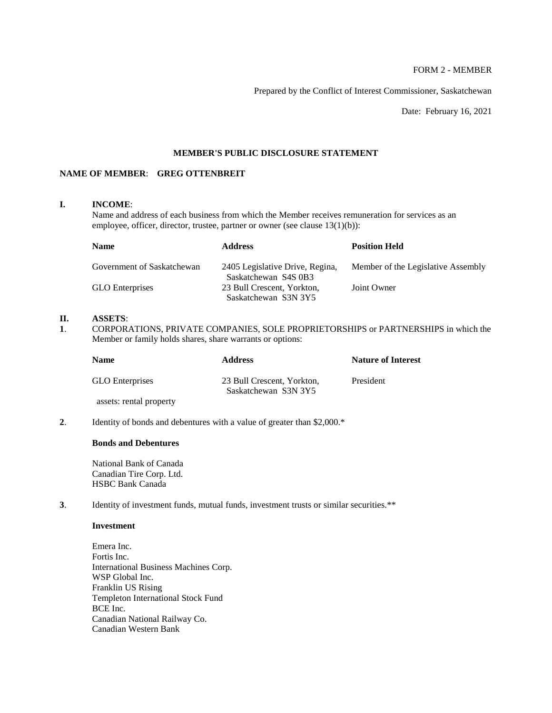# FORM 2 - MEMBER

Prepared by the Conflict of Interest Commissioner, Saskatchewan

Date: February 16, 2021

# **MEMBER'S PUBLIC DISCLOSURE STATEMENT**

# **NAME OF MEMBER**: **GREG OTTENBREIT**

#### **I. INCOME**:

Name and address of each business from which the Member receives remuneration for services as an employee, officer, director, trustee, partner or owner (see clause 13(1)(b)):

| <b>Name</b>                | <b>Address</b>                                          | <b>Position Held</b>               |
|----------------------------|---------------------------------------------------------|------------------------------------|
| Government of Saskatchewan | 2405 Legislative Drive, Regina,<br>Saskatchewan S4S 0B3 | Member of the Legislative Assembly |
| <b>GLO</b> Enterprises     | 23 Bull Crescent, Yorkton,                              | Joint Owner                        |
|                            | Saskatchewan S3N 3Y5                                    |                                    |

# **II. ASSETS**:

**1**. CORPORATIONS, PRIVATE COMPANIES, SOLE PROPRIETORSHIPS or PARTNERSHIPS in which the Member or family holds shares, share warrants or options:

| <b>Name</b>             | <b>Address</b>                                     | <b>Nature of Interest</b> |
|-------------------------|----------------------------------------------------|---------------------------|
| <b>GLO</b> Enterprises  | 23 Bull Crescent, Yorkton,<br>Saskatchewan S3N 3Y5 | President                 |
| assets: rental property |                                                    |                           |

**2.** Identity of bonds and debentures with a value of greater than \$2,000.\*

# **Bonds and Debentures**

National Bank of Canada Canadian Tire Corp. Ltd. HSBC Bank Canada

**3**. Identity of investment funds, mutual funds, investment trusts or similar securities.\*\*

#### **Investment**

Emera Inc. Fortis Inc. International Business Machines Corp. WSP Global Inc. Franklin US Rising Templeton International Stock Fund BCE Inc. Canadian National Railway Co. Canadian Western Bank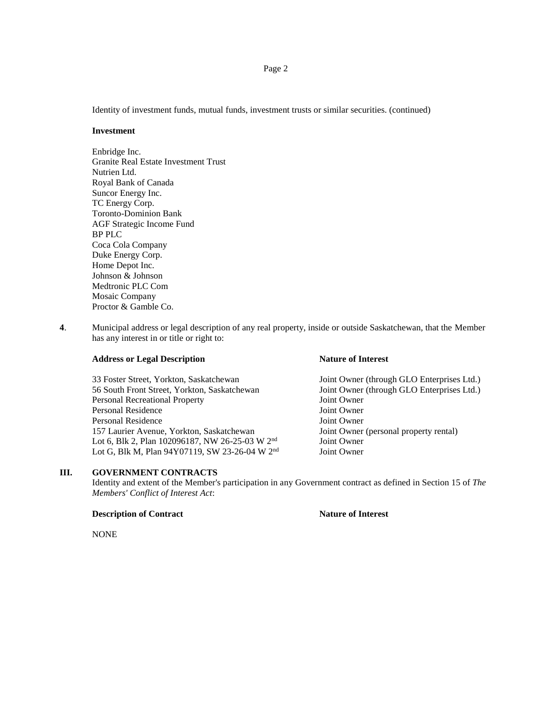Identity of investment funds, mutual funds, investment trusts or similar securities. (continued)

#### **Investment**

Enbridge Inc. Granite Real Estate Investment Trust Nutrien Ltd. Royal Bank of Canada Suncor Energy Inc. TC Energy Corp. Toronto-Dominion Bank AGF Strategic Income Fund BP PLC Coca Cola Company Duke Energy Corp. Home Depot Inc. Johnson & Johnson Medtronic PLC Com Mosaic Company Proctor & Gamble Co.

**4**. Municipal address or legal description of any real property, inside or outside Saskatchewan, that the Member has any interest in or title or right to:

#### **Address or Legal Description Nature of Interest**

33 Foster Street, Yorkton, Saskatchewan Joint Owner (through GLO Enterprises Ltd.) 56 South Front Street, Yorkton, Saskatchewan Joint Owner (through GLO Enterprises Ltd.) Personal Recreational Property **Figure 10** Joint Owner Personal Residence Joint Owner Personal Residence Joint Owner 157 Laurier Avenue, Yorkton, Saskatchewan Joint Owner (personal property rental) Lot 6, Blk 2, Plan 102096187, NW 26-25-03 W 2<sup>nd</sup> Joint Owner Lot G, Blk M, Plan 94Y07119, SW 23-26-04 W 2<sup>nd</sup> Joint Owner

# **III. GOVERNMENT CONTRACTS**

Identity and extent of the Member's participation in any Government contract as defined in Section 15 of *The Members' Conflict of Interest Act*:

#### **Description of Contract Nature of Interest**

NONE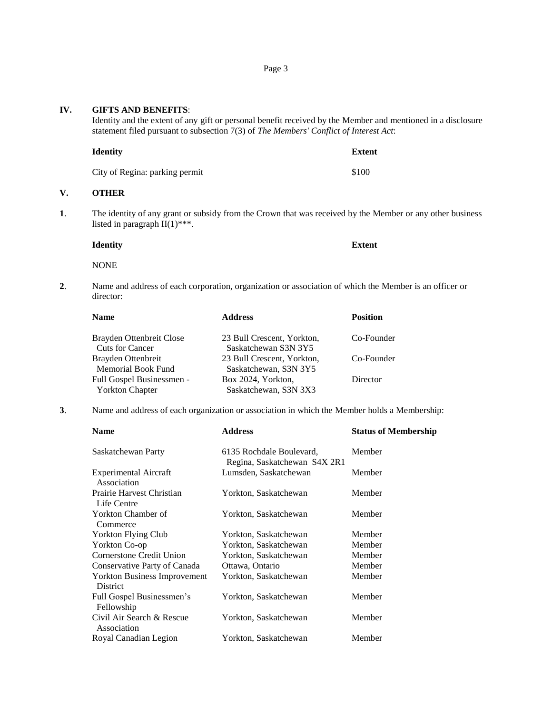| IV.<br><b>GIFTS AND BENEFITS:</b><br>Identity and the extent of any gift or personal benefit received by the Member and mentioned in a disclosure<br>statement filed pursuant to subsection 7(3) of The Members' Conflict of Interest Act: |                                                    |                                                     |                                                                                                        |
|--------------------------------------------------------------------------------------------------------------------------------------------------------------------------------------------------------------------------------------------|----------------------------------------------------|-----------------------------------------------------|--------------------------------------------------------------------------------------------------------|
|                                                                                                                                                                                                                                            | <b>Identity</b>                                    |                                                     | <b>Extent</b>                                                                                          |
|                                                                                                                                                                                                                                            | City of Regina: parking permit                     |                                                     | \$100                                                                                                  |
| V.                                                                                                                                                                                                                                         | <b>OTHER</b>                                       |                                                     |                                                                                                        |
| 1.<br>The identity of any grant or subsidy from the Crown that was received by the Member or any other business<br>listed in paragraph $II(1)$ ***.                                                                                        |                                                    |                                                     |                                                                                                        |
|                                                                                                                                                                                                                                            | <b>Identity</b>                                    |                                                     | <b>Extent</b>                                                                                          |
|                                                                                                                                                                                                                                            | <b>NONE</b>                                        |                                                     |                                                                                                        |
| 2.                                                                                                                                                                                                                                         | director:                                          |                                                     | Name and address of each corporation, organization or association of which the Member is an officer or |
|                                                                                                                                                                                                                                            | <b>Name</b>                                        | <b>Address</b>                                      | <b>Position</b>                                                                                        |
|                                                                                                                                                                                                                                            | Brayden Ottenbreit Close<br><b>Cuts for Cancer</b> | 23 Bull Crescent, Yorkton,<br>Saskatchewan S3N 3Y5  | Co-Founder                                                                                             |
|                                                                                                                                                                                                                                            | Brayden Ottenbreit<br>Memorial Book Fund           | 23 Bull Crescent, Yorkton,<br>Saskatchewan, S3N 3Y5 | Co-Founder                                                                                             |
|                                                                                                                                                                                                                                            | Full Gospel Businessmen -                          | Box 2024, Yorkton,                                  | Director                                                                                               |

**3**. Name and address of each organization or association in which the Member holds a Membership:

Yorkton Chapter Saskatchewan, S3N 3X3

| <b>Address</b>           | <b>Status of Membership</b>  |
|--------------------------|------------------------------|
| 6135 Rochdale Boulevard, | Member                       |
| Lumsden, Saskatchewan    | Member                       |
| Yorkton, Saskatchewan    | Member                       |
| Yorkton, Saskatchewan    | Member                       |
| Yorkton, Saskatchewan    | Member                       |
| Yorkton, Saskatchewan    | Member                       |
| Yorkton, Saskatchewan    | Member                       |
| Ottawa, Ontario          | Member                       |
| Yorkton, Saskatchewan    | Member                       |
| Yorkton, Saskatchewan    | Member                       |
| Yorkton, Saskatchewan    | Member                       |
| Yorkton, Saskatchewan    | Member                       |
|                          | Regina, Saskatchewan S4X 2R1 |

# IV.

**V**.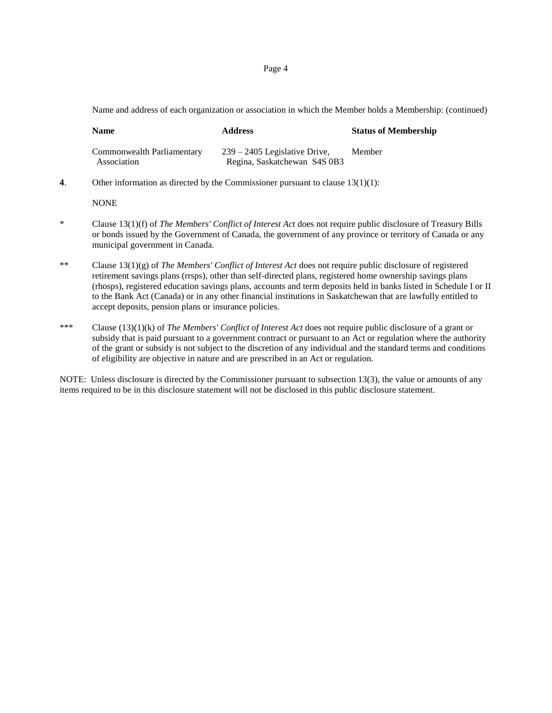Page 4

Name and address of each organization or association in which the Member holds a Membership: (continued)

| <b>Name</b>                               | <b>Address</b>                                                  | <b>Status of Membership</b> |
|-------------------------------------------|-----------------------------------------------------------------|-----------------------------|
| Commonwealth Parliamentary<br>Association | $239 - 2405$ Legislative Drive,<br>Regina, Saskatchewan S4S 0B3 | Member                      |

**4**. Other information as directed by the Commissioner pursuant to clause 13(1)(1):

#### **NONE**

- \* Clause 13(1)(f) of *The Members' Conflict of Interest Act* does not require public disclosure of Treasury Bills or bonds issued by the Government of Canada, the government of any province or territory of Canada or any municipal government in Canada.
- \*\* Clause 13(1)(g) of *The Members' Conflict of Interest Act* does not require public disclosure of registered retirement savings plans (rrsps), other than self-directed plans, registered home ownership savings plans (rhosps), registered education savings plans, accounts and term deposits held in banks listed in Schedule I or II to the Bank Act (Canada) or in any other financial institutions in Saskatchewan that are lawfully entitled to accept deposits, pension plans or insurance policies.
- \*\*\* Clause (13)(1)(k) of *The Members' Conflict of Interest Act* does not require public disclosure of a grant or subsidy that is paid pursuant to a government contract or pursuant to an Act or regulation where the authority of the grant or subsidy is not subject to the discretion of any individual and the standard terms and conditions of eligibility are objective in nature and are prescribed in an Act or regulation.

NOTE: Unless disclosure is directed by the Commissioner pursuant to subsection 13(3), the value or amounts of any items required to be in this disclosure statement will not be disclosed in this public disclosure statement.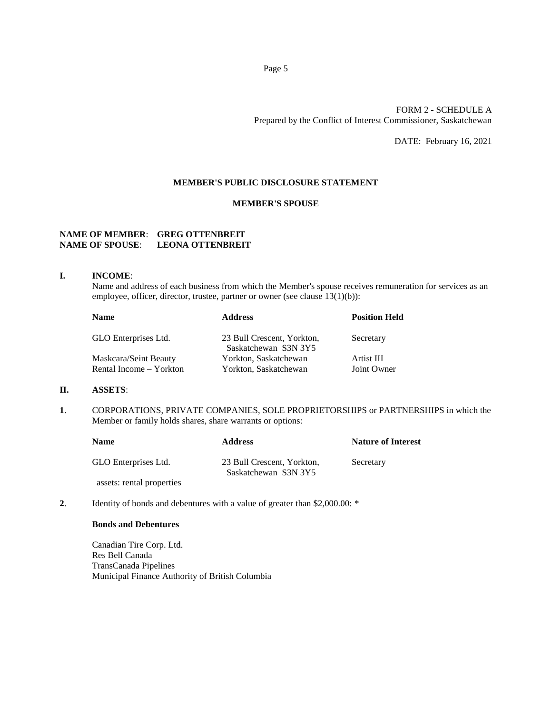# FORM 2 - SCHEDULE A Prepared by the Conflict of Interest Commissioner, Saskatchewan

DATE: February 16, 2021

## **MEMBER'S PUBLIC DISCLOSURE STATEMENT**

### **MEMBER'S SPOUSE**

# **NAME OF MEMBER**: **GREG OTTENBREIT NAME OF SPOUSE**: **LEONA OTTENBREIT**

#### **I. INCOME**:

Name and address of each business from which the Member's spouse receives remuneration for services as an employee, officer, director, trustee, partner or owner (see clause 13(1)(b)):

| <b>Name</b>             | <b>Address</b>                                     | <b>Position Held</b> |
|-------------------------|----------------------------------------------------|----------------------|
| GLO Enterprises Ltd.    | 23 Bull Crescent, Yorkton,<br>Saskatchewan S3N 3Y5 | Secretary            |
| Maskcara/Seint Beauty   | Yorkton, Saskatchewan                              | Artist III           |
| Rental Income – Yorkton | Yorkton, Saskatchewan                              | Joint Owner          |

#### **II. ASSETS**:

**1**. CORPORATIONS, PRIVATE COMPANIES, SOLE PROPRIETORSHIPS or PARTNERSHIPS in which the Member or family holds shares, share warrants or options:

| <b>Name</b>               | <b>Address</b>                                     | <b>Nature of Interest</b> |
|---------------------------|----------------------------------------------------|---------------------------|
| GLO Enterprises Ltd.      | 23 Bull Crescent, Yorkton,<br>Saskatchewan S3N 3Y5 | Secretary                 |
| assets: rental properties |                                                    |                           |

**2.** Identity of bonds and debentures with a value of greater than \$2,000.00: \*

### **Bonds and Debentures**

Canadian Tire Corp. Ltd. Res Bell Canada TransCanada Pipelines Municipal Finance Authority of British Columbia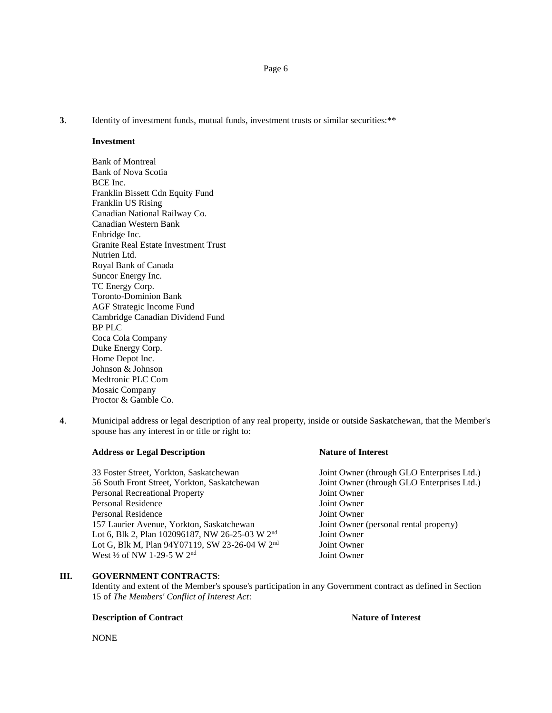**3.** Identity of investment funds, mutual funds, investment trusts or similar securities:\*\*

### **Investment**

Bank of Montreal Bank of Nova Scotia BCE Inc. Franklin Bissett Cdn Equity Fund Franklin US Rising Canadian National Railway Co. Canadian Western Bank Enbridge Inc. Granite Real Estate Investment Trust Nutrien Ltd. Royal Bank of Canada Suncor Energy Inc. TC Energy Corp. Toronto-Dominion Bank AGF Strategic Income Fund Cambridge Canadian Dividend Fund BP PLC Coca Cola Company Duke Energy Corp. Home Depot Inc. Johnson & Johnson Medtronic PLC Com Mosaic Company Proctor & Gamble Co.

**4**. Municipal address or legal description of any real property, inside or outside Saskatchewan, that the Member's spouse has any interest in or title or right to:

#### **Address or Legal Description Nature of Interest**

33 Foster Street, Yorkton, Saskatchewan Joint Owner (through GLO Enterprises Ltd.) 56 South Front Street, Yorkton, Saskatchewan Joint Owner (through GLO Enterprises Ltd.) Personal Recreational Property **Figure 10** Joint Owner Personal Residence Joint Owner Personal Residence Joint Owner 157 Laurier Avenue, Yorkton, Saskatchewan Joint Owner (personal rental property) Lot 6, Blk 2, Plan 102096187, NW 26-25-03 W 2<sup>nd</sup> Joint Owner Lot G, Blk M, Plan 94Y07119, SW 23-26-04 W  $2<sup>nd</sup>$  Joint Owner West  $\frac{1}{2}$  of NW 1-29-5 W  $2<sup>nd</sup>$  Joint Owner West 1/2 of NW 1-29-5 W 2<sup>nd</sup>

# **III. GOVERNMENT CONTRACTS**:

Identity and extent of the Member's spouse's participation in any Government contract as defined in Section 15 of *The Members' Conflict of Interest Act*:

#### **Description of Contract Nature of Interest Nature of Interest**

NONE